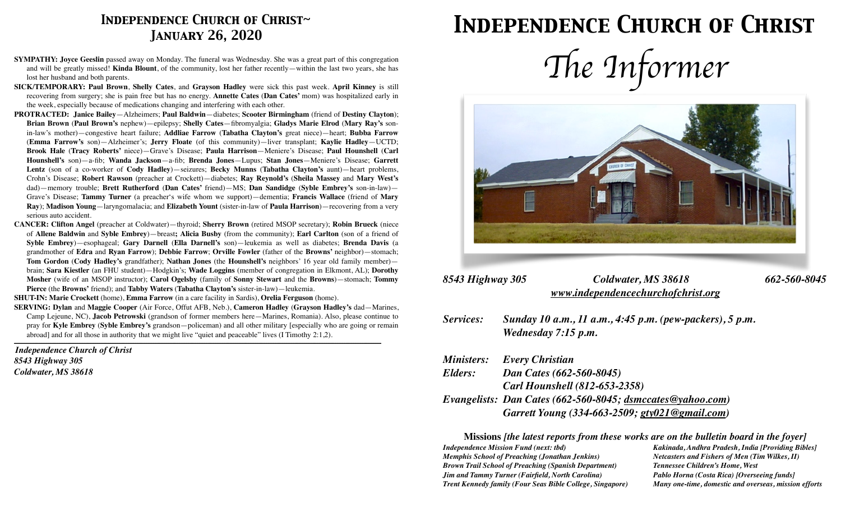## *Independence Church of Christ~ January 26, 2020*

- **SYMPATHY: Joyce Geeslin** passed away on Monday. The funeral was Wednesday. She was a great part of this congregation and will be greatly missed! **Kinda Blount**, of the community, lost her father recently—within the last two years, she has lost her husband and both parents.
- **SICK/TEMPORARY: Paul Brown**, **Shelly Cates**, and **Grayson Hadley** were sick this past week. **April Kinney** is still recovering from surgery; she is pain free but has no energy. **Annette Cates** (**Dan Cates'** mom) was hospitalized early in the week, especially because of medications changing and interfering with each other.
- **PROTRACTED: Janice Bailey**—Alzheimers; **Paul Baldwin**—diabetes; **Scooter Birmingham** (friend of **Destiny Clayton**); **Brian Brown** (**Paul Brown's** nephew)—epilepsy; **Shelly Cates**—fibromyalgia; **Gladys Marie Elrod** (**Mary Ray's** sonin-law's mother)—congestive heart failure; **Addliae Farrow** (**Tabatha Clayton's** great niece)—heart; **Bubba Farrow**  (**Emma Farrow's** son)—Alzheimer's; **Jerry Floate** (of this community)—liver transplant; **Kaylie Hadley**—UCTD; **Brook Hale** (**Tracy Roberts'** niece)—Grave's Disease; **Paula Harrison**—Meniere's Disease; **Paul Hounshell** (**Carl Hounshell's** son)—a-fib; **Wanda Jackson**—a-fib; **Brenda Jones**—Lupus; **Stan Jones**—Meniere's Disease; **Garrett Lentz** (son of a co-worker of **Cody Hadley**)—seizures; **Becky Munns** (**Tabatha Clayton's** aunt)—heart problems, Crohn's Disease; **Robert Rawson** (preacher at Crockett)—diabetes; **Ray Reynold's** (**Sheila Massey** and **Mary West's** dad)—memory trouble; **Brett Rutherford** (**Dan Cates'** friend)—MS; **Dan Sandidge** (**Syble Embrey's** son-in-law)— Grave's Disease; **Tammy Turner** (a preacher's wife whom we support)—dementia; **Francis Wallace** (friend of **Mary Ray**); Madison Young—laryngomalacia; and **Elizabeth Yount** (sister-in-law of **Paula Harrison**)—recovering from a very serious auto accident.
- **CANCER: Clifton Angel** (preacher at Coldwater)—thyroid; **Sherry Brown** (retired MSOP secretary); **Robin Brueck** (niece of **Allene Baldwin** and **Syble Embrey**)—breast**; Alicia Busby** (from the community); **Earl Carlton** (son of a friend of **Syble Embrey**)—esophageal; **Gary Darnell** (**Ella Darnell's** son)—leukemia as well as diabetes; **Brenda Davis** (a grandmother of **Edra** and **Ryan Farrow**); **Debbie Farrow**; **Orville Fowler** (father of the **Browns'** neighbor)—stomach; **Tom Gordon** (**Cody Hadley's** grandfather); **Nathan Jones** (the **Hounshell's** neighbors' 16 year old family member) brain; **Sara Kiestler** (an FHU student)—Hodgkin's; **Wade Loggins** (member of congregation in Elkmont, AL); **Dorothy Mosher** (wife of an MSOP instructor); **Carol Ogelsby** (family of **Sonny Stewart** and the **Browns**)—stomach; **Tommy Pierce** (the **Browns'** friend); and **Tabby Waters** (**Tabatha Clayton's** sister-in-law)—leukemia.

**SHUT-IN: Marie Crockett** (home), **Emma Farrow** (in a care facility in Sardis), **Orelia Ferguson** (home).

**SERVING: Dylan** and **Maggie Cooper** (Air Force, Offut AFB, Neb.), **Cameron Hadley** (**Grayson Hadley's** dad—Marines, Camp Lejeune, NC), **Jacob Petrowski** (grandson of former members here—Marines, Romania). Also, please continue to pray for **Kyle Embrey** (**Syble Embrey's** grandson—policeman) and all other military [especially who are going or remain abroad] and for all those in authority that we might live "quiet and peaceable" lives (I Timothy 2:1,2).

*\_\_\_\_\_\_\_\_\_\_\_\_\_\_\_\_\_\_\_\_\_\_\_\_\_\_\_\_\_\_\_\_\_\_\_\_\_\_\_\_\_\_\_\_\_\_\_\_\_\_\_\_\_\_\_\_\_\_\_\_\_\_\_\_\_\_\_\_\_\_\_\_\_\_\_\_\_\_\_\_\_\_\_\_\_\_\_\_\_\_\_\_\_\_\_\_\_\_\_\_\_\_\_\_\_\_\_\_\_\_\_\_\_\_\_\_\_\_\_\_\_\_\_\_\_\_\_\_\_\_\_\_\_\_\_\_\_\_\_\_\_\_\_\_\_\_\_\_\_\_\_\_\_\_\_\_\_\_\_\_\_\_\_\_\_*

*Independence Church of Christ 8543 Highway 305 Coldwater, MS 38618*

# *Independence Church of Christ*





#### *8543 Highway 305 Coldwater, MS 38618 662-560-8045 [www.independencechurchofchrist.org](http://www.independencechurchofchrist.org)*

*Services: Sunday 10 a.m., 11 a.m., 4:45 p.m. (pew-packers), 5 p.m. Wednesday 7:15 p.m.*

| <i>Ministers:</i> | <b>Every Christian</b>                                     |
|-------------------|------------------------------------------------------------|
| Elders:           | Dan Cates (662-560-8045)                                   |
|                   | <b>Carl Hounshell (812-653-2358)</b>                       |
|                   | Evangelists: Dan Cates (662-560-8045; dsmccates@yahoo.com) |
|                   | Garrett Young (334-663-2509; gty021@gmail.com)             |

**Missions** *[the latest reports from these works are on the bulletin board in the foyer] Independence Mission Fund (next: tbd) Kakinada, Andhra Pradesh, India [Providing Bibles] Memphis School of Preaching (Jonathan Jenkins) Netcasters and Fishers of Men (Tim Wilkes, II) Brown Trail School of Preaching (Spanish Department) Tennessee Children's Home, West Jim and Tammy Turner (Fairfield, North Carolina) Pablo Horna (Costa Rica) [Overseeing funds] Trent Kennedy family (Four Seas Bible College, Singapore) Many one-time, domestic and overseas, mission efforts*